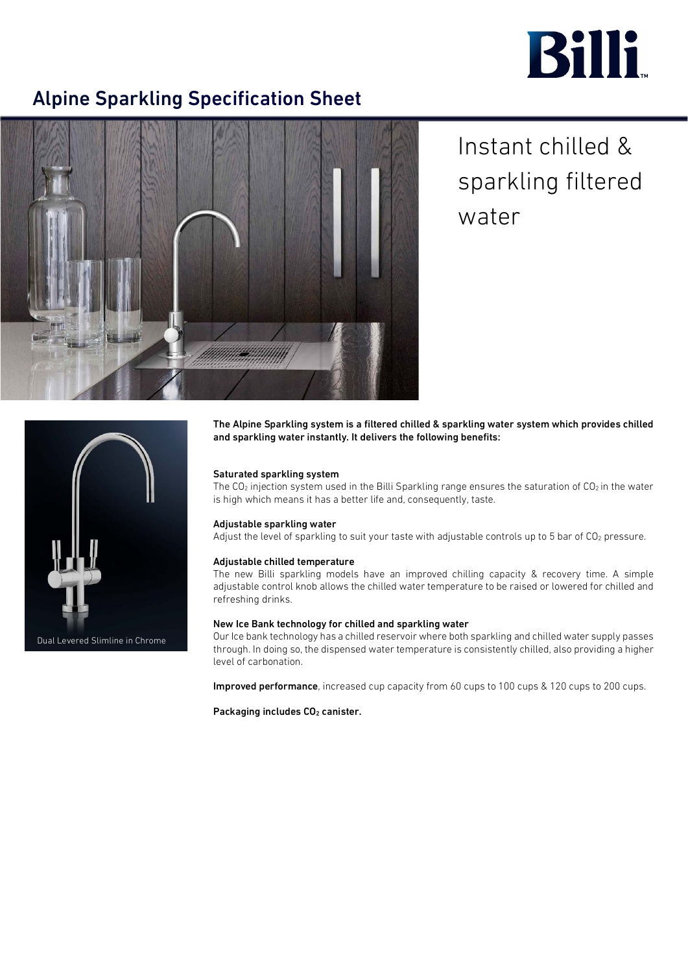# **Billi**

### Alpine Sparkling Specification Sheet



## Instant chilled & sparkling filtered water



Dual Levered Slimline in Chrome

The Alpine Sparkling system is a filtered chilled & sparkling water system which provides chilled and sparkling water instantly. It delivers the following benefits:

#### Saturated sparkling system

The CO<sub>2</sub> injection system used in the Billi Sparkling range ensures the saturation of CO<sub>2</sub> in the water is high which means it has a better life and, consequently, taste.

#### Adjustable sparkling water

Adjust the level of sparkling to suit your taste with adjustable controls up to 5 bar of CO<sub>2</sub> pressure.

#### Adjustable chilled temperature

The new Billi sparkling models have an improved chilling capacity & recovery time. A simple adjustable control knob allows the chilled water temperature to be raised or lowered for chilled and refreshing drinks.

#### New Ice Bank technology for chilled and sparkling water

Our Ice bank technology has a chilled reservoir where both sparkling and chilled water supply passes through. In doing so, the dispensed water temperature is consistently chilled, also providing a higher level of carbonation.

Improved performance, increased cup capacity from 60 cups to 100 cups & 120 cups to 200 cups.

Packaging includes CO<sub>2</sub> canister.